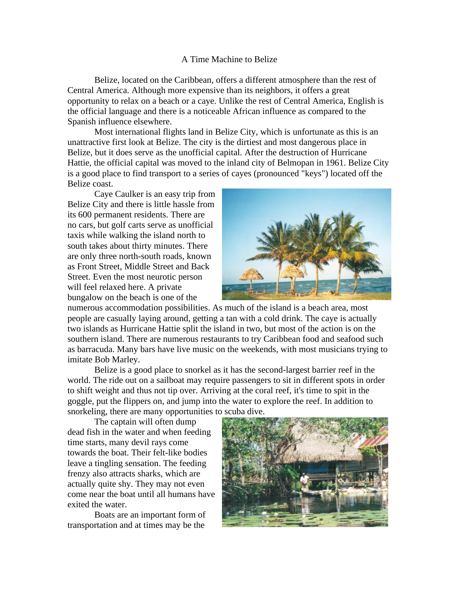## A Time Machine to Belize

Belize, located on the Caribbean, offers a different atmosphere than the rest of Central America. Although more expensive than its neighbors, it offers a great opportunity to relax on a beach or a caye. Unlike the rest of Central America, English is the official language and there is a noticeable African influence as compared to the Spanish influence elsewhere.

Most international flights land in Belize City, which is unfortunate as this is an unattractive first look at Belize. The city is the dirtiest and most dangerous place in Belize, but it does serve as the unofficial capital. After the destruction of Hurricane Hattie, the official capital was moved to the inland city of Belmopan in 1961. Belize City is a good place to find transport to a series of cayes (pronounced "keys") located off the Belize coast.

Caye Caulker is an easy trip from Belize City and there is little hassle from its 600 permanent residents. There are no cars, but golf carts serve as unofficial taxis while walking the island north to south takes about thirty minutes. There are only three north-south roads, known as Front Street, Middle Street and Back Street. Even the most neurotic person will feel relaxed here. A private bungalow on the beach is one of the



numerous accommodation possibilities. As much of the island is a beach area, most people are casually laying around, getting a tan with a cold drink. The caye is actually two islands as Hurricane Hattie split the island in two, but most of the action is on the southern island. There are numerous restaurants to try Caribbean food and seafood such as barracuda. Many bars have live music on the weekends, with most musicians trying to imitate Bob Marley.

Belize is a good place to snorkel as it has the second-largest barrier reef in the world. The ride out on a sailboat may require passengers to sit in different spots in order to shift weight and thus not tip over. Arriving at the coral reef, it's time to spit in the goggle, put the flippers on, and jump into the water to explore the reef. In addition to snorkeling, there are many opportunities to scuba dive.

The captain will often dump dead fish in the water and when feeding time starts, many devil rays come towards the boat. Their felt-like bodies leave a tingling sensation. The feeding frenzy also attracts sharks, which are actually quite shy. They may not even come near the boat until all humans have exited the water.

Boats are an important form of transportation and at times may be the

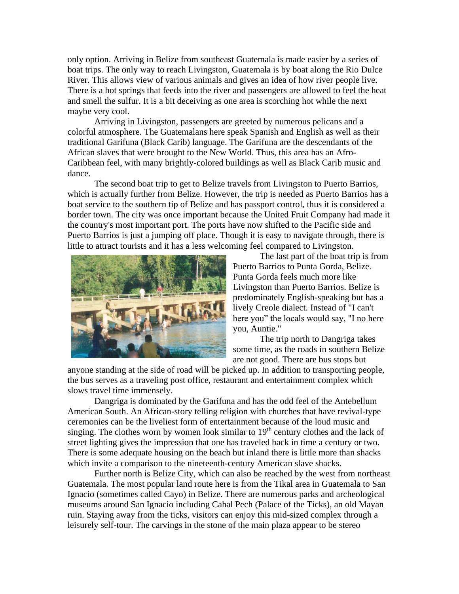only option. Arriving in Belize from southeast Guatemala is made easier by a series of boat trips. The only way to reach Livingston, Guatemala is by boat along the Rio Dulce River. This allows view of various animals and gives an idea of how river people live. There is a hot springs that feeds into the river and passengers are allowed to feel the heat and smell the sulfur. It is a bit deceiving as one area is scorching hot while the next maybe very cool.

Arriving in Livingston, passengers are greeted by numerous pelicans and a colorful atmosphere. The Guatemalans here speak Spanish and English as well as their traditional Garifuna (Black Carib) language. The Garifuna are the descendants of the African slaves that were brought to the New World. Thus, this area has an Afro-Caribbean feel, with many brightly-colored buildings as well as Black Carib music and dance.

The second boat trip to get to Belize travels from Livingston to Puerto Barrios, which is actually further from Belize. However, the trip is needed as Puerto Barrios has a boat service to the southern tip of Belize and has passport control, thus it is considered a border town. The city was once important because the United Fruit Company had made it the country's most important port. The ports have now shifted to the Pacific side and Puerto Barrios is just a jumping off place. Though it is easy to navigate through, there is little to attract tourists and it has a less welcoming feel compared to Livingston.



The last part of the boat trip is from Puerto Barrios to Punta Gorda, Belize. Punta Gorda feels much more like Livingston than Puerto Barrios. Belize is predominately English-speaking but has a lively Creole dialect. Instead of "I can't here you" the locals would say, "I no here you, Auntie."

The trip north to Dangriga takes some time, as the roads in southern Belize are not good. There are bus stops but

anyone standing at the side of road will be picked up. In addition to transporting people, the bus serves as a traveling post office, restaurant and entertainment complex which slows travel time immensely.

Dangriga is dominated by the Garifuna and has the odd feel of the Antebellum American South. An African-story telling religion with churches that have revival-type ceremonies can be the liveliest form of entertainment because of the loud music and singing. The clothes worn by women look similar to  $19<sup>th</sup>$  century clothes and the lack of street lighting gives the impression that one has traveled back in time a century or two. There is some adequate housing on the beach but inland there is little more than shacks which invite a comparison to the nineteenth-century American slave shacks.

Further north is Belize City, which can also be reached by the west from northeast Guatemala. The most popular land route here is from the Tikal area in Guatemala to San Ignacio (sometimes called Cayo) in Belize. There are numerous parks and archeological museums around San Ignacio including Cahal Pech (Palace of the Ticks), an old Mayan ruin. Staying away from the ticks, visitors can enjoy this mid-sized complex through a leisurely self-tour. The carvings in the stone of the main plaza appear to be stereo